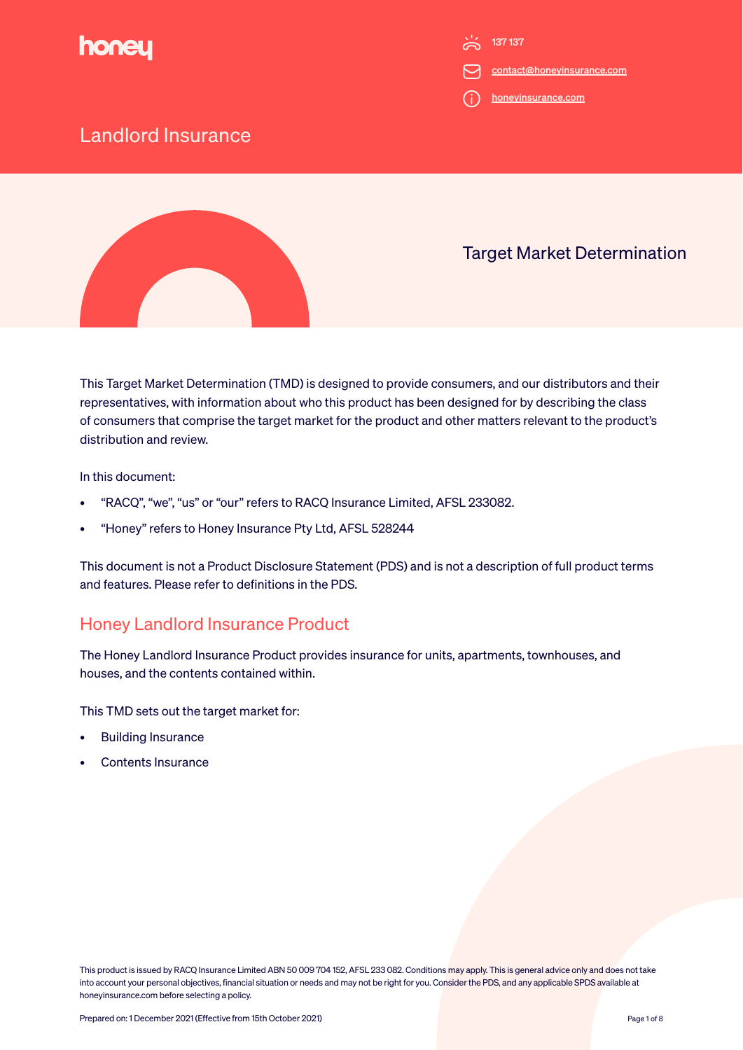

- contact@honeyinsurance.com
- honeyinsurance.com

### Landlord Insurance



### Target Market Determination

This Target Market Determination (TMD) is designed to provide consumers, and our distributors and their representatives, with information about who this product has been designed for by describing the class of consumers that comprise the target market for the product and other matters relevant to the product's distribution and review.

In this document:

- "RACQ", "we", "us" or "our" refers to RACQ Insurance Limited, AFSL 233082.
- "Honey" refers to Honey Insurance Pty Ltd, AFSL 528244

This document is not a Product Disclosure Statement (PDS) and is not a description of full product terms and features. Please refer to definitions in the PDS.

### Honey Landlord Insurance Product

The Honey Landlord Insurance Product provides insurance for units, apartments, townhouses, and houses, and the contents contained within.

This TMD sets out the target market for:

- Building Insurance
- Contents Insurance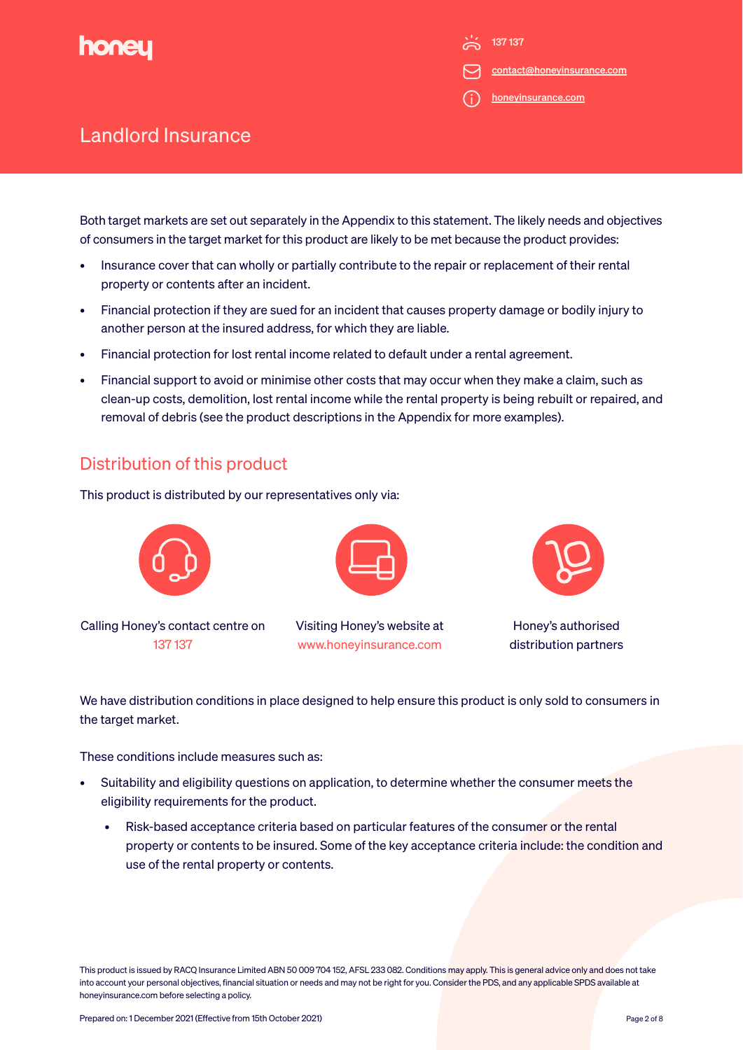

contact@honeyinsurance.com

honeyinsurance.com

# Landlord Insurance

Both target markets are set out separately in the Appendix to this statement. The likely needs and objectives of consumers in the target market for this product are likely to be met because the product provides:

- Insurance cover that can wholly or partially contribute to the repair or replacement of their rental property or contents after an incident.
- Financial protection if they are sued for an incident that causes property damage or bodily injury to another person at the insured address, for which they are liable.
- Financial protection for lost rental income related to default under a rental agreement.
- Financial support to avoid or minimise other costs that may occur when they make a claim, such as clean-up costs, demolition, lost rental income while the rental property is being rebuilt or repaired, and removal of debris (see the product descriptions in the Appendix for more examples).

### Distribution of this product

This product is distributed by our representatives only via:



We have distribution conditions in place designed to help ensure this product is only sold to consumers in the target market.

These conditions include measures such as:

- Suitability and eligibility questions on application, to determine whether the consumer meets the eligibility requirements for the product.
	- Risk-based acceptance criteria based on particular features of the consumer or the rental property or contents to be insured. Some of the key acceptance criteria include: the condition and use of the rental property or contents.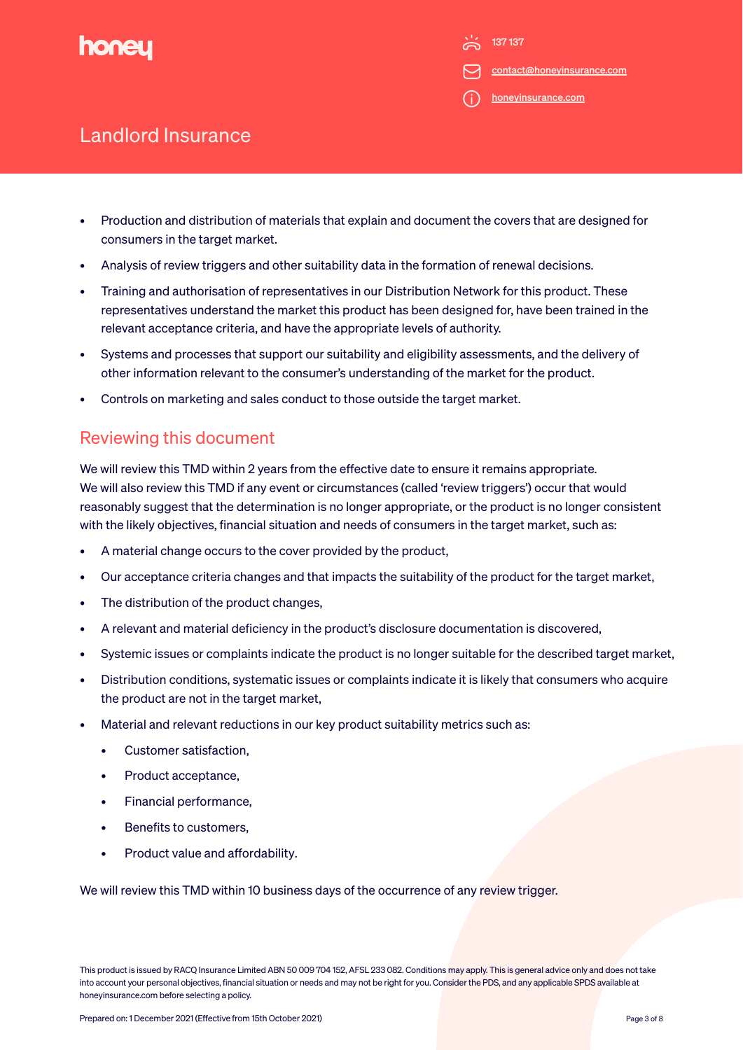

contact@honeyinsurance.com

honeyinsurance.com

## Landlord Insurance

- Production and distribution of materials that explain and document the covers that are designed for consumers in the target market.
- Analysis of review triggers and other suitability data in the formation of renewal decisions.
- Training and authorisation of representatives in our Distribution Network for this product. These representatives understand the market this product has been designed for, have been trained in the relevant acceptance criteria, and have the appropriate levels of authority.
- Systems and processes that support our suitability and eligibility assessments, and the delivery of other information relevant to the consumer's understanding of the market for the product.
- Controls on marketing and sales conduct to those outside the target market.

### Reviewing this document

We will review this TMD within 2 years from the effective date to ensure it remains appropriate. We will also review this TMD if any event or circumstances (called 'review triggers') occur that would reasonably suggest that the determination is no longer appropriate, or the product is no longer consistent with the likely objectives, financial situation and needs of consumers in the target market, such as:

- A material change occurs to the cover provided by the product,
- Our acceptance criteria changes and that impacts the suitability of the product for the target market,
- The distribution of the product changes,
- A relevant and material deficiency in the product's disclosure documentation is discovered,
- Systemic issues or complaints indicate the product is no longer suitable for the described target market,
- Distribution conditions, systematic issues or complaints indicate it is likely that consumers who acquire the product are not in the target market,
- Material and relevant reductions in our key product suitability metrics such as:
	- Customer satisfaction,
	- Product acceptance,
	- Financial performance,
	- Benefits to customers,
	- Product value and affordability.

We will review this TMD within 10 business days of the occurrence of any review trigger.

This product is issued by RACQ Insurance Limited ABN 50 009 704 152, AFSL 233 082. Conditions may apply. This is general advice only and does not take into account your personal objectives, financial situation or needs and may not be right for you. Consider the PDS, and any applicable SPDS available at honeyinsurance.com before selecting a policy.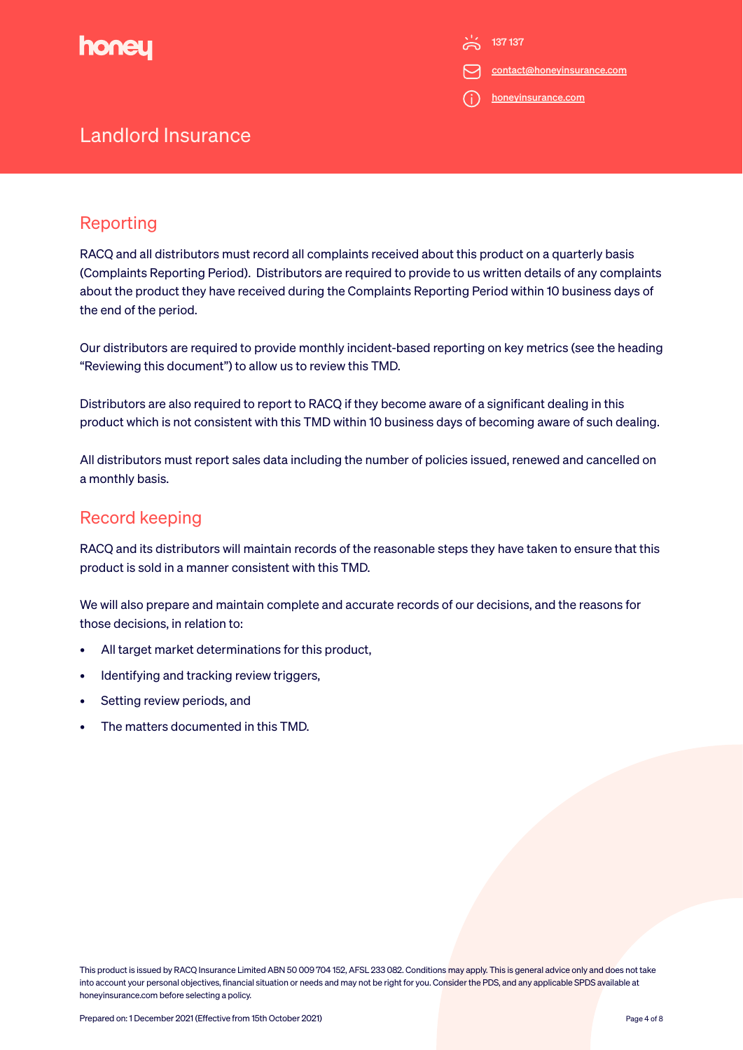

contact@honeyinsurance.com

i) honeyinsurance.com

# Landlord Insurance

### Reporting

RACQ and all distributors must record all complaints received about this product on a quarterly basis (Complaints Reporting Period). Distributors are required to provide to us written details of any complaints about the product they have received during the Complaints Reporting Period within 10 business days of the end of the period.

Our distributors are required to provide monthly incident-based reporting on key metrics (see the heading "Reviewing this document") to allow us to review this TMD.

Distributors are also required to report to RACQ if they become aware of a significant dealing in this product which is not consistent with this TMD within 10 business days of becoming aware of such dealing.

All distributors must report sales data including the number of policies issued, renewed and cancelled on a monthly basis.

### Record keeping

RACQ and its distributors will maintain records of the reasonable steps they have taken to ensure that this product is sold in a manner consistent with this TMD.

We will also prepare and maintain complete and accurate records of our decisions, and the reasons for those decisions, in relation to:

- All target market determinations for this product,
- Identifying and tracking review triggers,
- Setting review periods, and
- The matters documented in this TMD.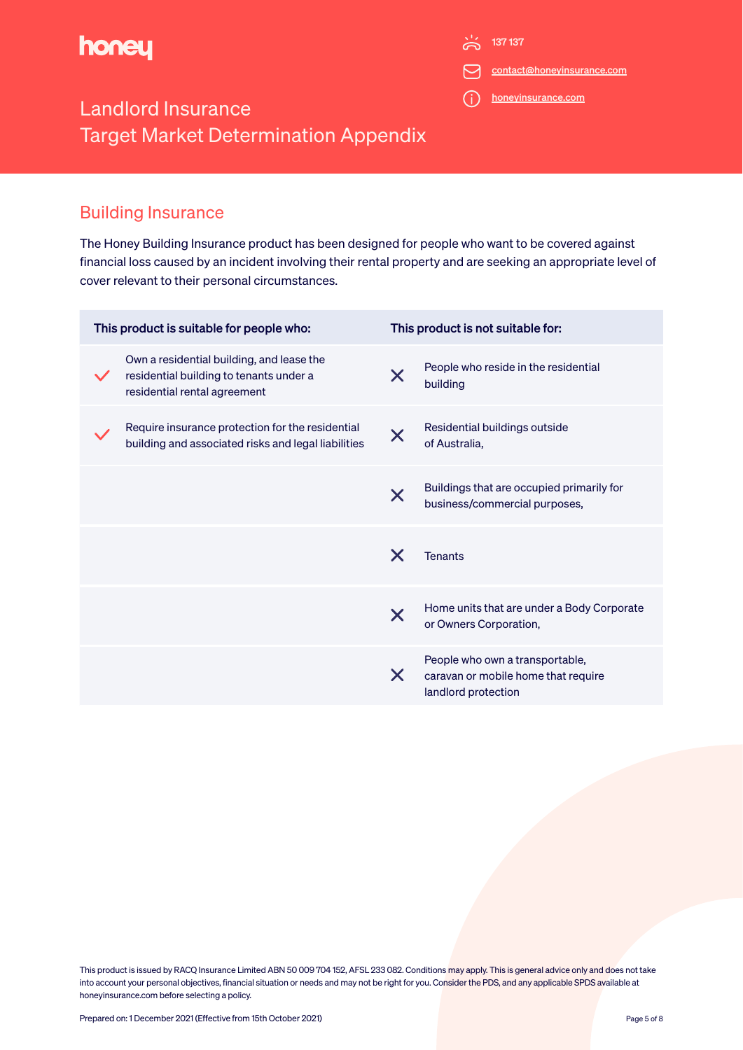

 $\frac{1}{2}$  137 137

contact@honeyinsurance.com

honeyinsurance.com

# Landlord Insurance Target Market Determination Appendix

#### Building Insurance

The Honey Building Insurance product has been designed for people who want to be covered against financial loss caused by an incident involving their rental property and are seeking an appropriate level of cover relevant to their personal circumstances.

| This product is suitable for people who:                                                                             | This product is not suitable for:                                                                  |
|----------------------------------------------------------------------------------------------------------------------|----------------------------------------------------------------------------------------------------|
| Own a residential building, and lease the<br>residential building to tenants under a<br>residential rental agreement | People who reside in the residential<br>X<br>building                                              |
| Require insurance protection for the residential<br>building and associated risks and legal liabilities              | Residential buildings outside<br>$\bm{\times}$<br>of Australia.                                    |
|                                                                                                                      | Buildings that are occupied primarily for<br>$\bm{\times}$<br>business/commercial purposes,        |
|                                                                                                                      | X<br><b>Tenants</b>                                                                                |
|                                                                                                                      | Home units that are under a Body Corporate<br>X<br>or Owners Corporation,                          |
|                                                                                                                      | People who own a transportable,<br>X<br>caravan or mobile home that require<br>landlord protection |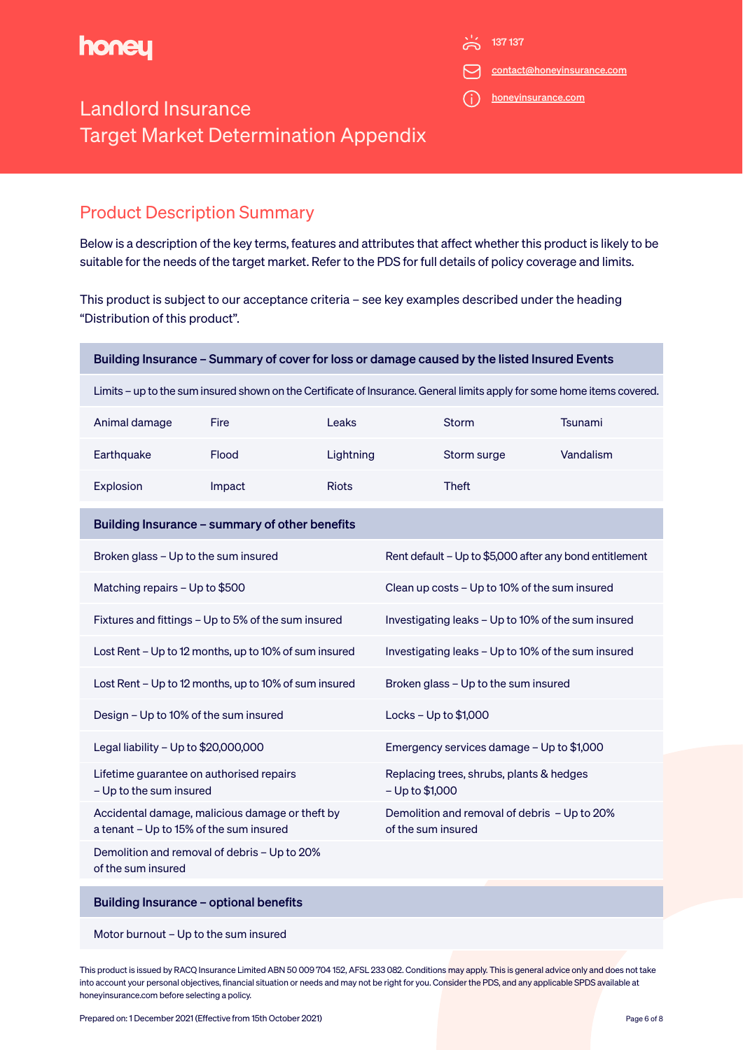

 $\sum_{137}$  137 137

contact@honeyinsurance.com

honeyinsurance.com

# Landlord Insurance Target Market Determination Appendix

### Product Description Summary

Below is a description of the key terms, features and attributes that affect whether this product is likely to be suitable for the needs of the target market. Refer to the PDS for full details of policy coverage and limits.

This product is subject to our acceptance criteria – see key examples described under the heading "Distribution of this product".

| Building Insurance - Summary of cover for loss or damage caused by the listed Insured Events                            |                                              |              |                                                                    |              |           |  |
|-------------------------------------------------------------------------------------------------------------------------|----------------------------------------------|--------------|--------------------------------------------------------------------|--------------|-----------|--|
| Limits - up to the sum insured shown on the Certificate of Insurance. General limits apply for some home items covered. |                                              |              |                                                                    |              |           |  |
| Animal damage                                                                                                           | Fire                                         | Leaks        |                                                                    | Storm        | Tsunami   |  |
| Earthquake                                                                                                              | Flood                                        | Lightning    |                                                                    | Storm surge  | Vandalism |  |
| Explosion                                                                                                               | Impact                                       | <b>Riots</b> |                                                                    | <b>Theft</b> |           |  |
| Building Insurance - summary of other benefits                                                                          |                                              |              |                                                                    |              |           |  |
| Broken glass - Up to the sum insured                                                                                    |                                              |              | Rent default - Up to \$5,000 after any bond entitlement            |              |           |  |
| Matching repairs - Up to \$500                                                                                          |                                              |              | Clean up costs - Up to 10% of the sum insured                      |              |           |  |
| Fixtures and fittings - Up to 5% of the sum insured                                                                     |                                              |              | Investigating leaks - Up to 10% of the sum insured                 |              |           |  |
| Lost Rent - Up to 12 months, up to 10% of sum insured                                                                   |                                              |              | Investigating leaks - Up to 10% of the sum insured                 |              |           |  |
| Lost Rent - Up to 12 months, up to 10% of sum insured                                                                   |                                              |              | Broken glass - Up to the sum insured                               |              |           |  |
| Design - Up to 10% of the sum insured                                                                                   |                                              |              | Locks - Up to \$1,000                                              |              |           |  |
| Legal liability - Up to \$20,000,000                                                                                    |                                              |              | Emergency services damage - Up to \$1,000                          |              |           |  |
| Lifetime guarantee on authorised repairs<br>- Up to the sum insured                                                     |                                              |              | Replacing trees, shrubs, plants & hedges<br>- Up to \$1,000        |              |           |  |
| Accidental damage, malicious damage or theft by<br>a tenant - Up to 15% of the sum insured                              |                                              |              | Demolition and removal of debris - Up to 20%<br>of the sum insured |              |           |  |
| of the sum insured                                                                                                      | Demolition and removal of debris - Up to 20% |              |                                                                    |              |           |  |
|                                                                                                                         | Building Insurance - optional benefits       |              |                                                                    |              |           |  |
|                                                                                                                         |                                              |              |                                                                    |              |           |  |

Motor burnout – Up to the sum insured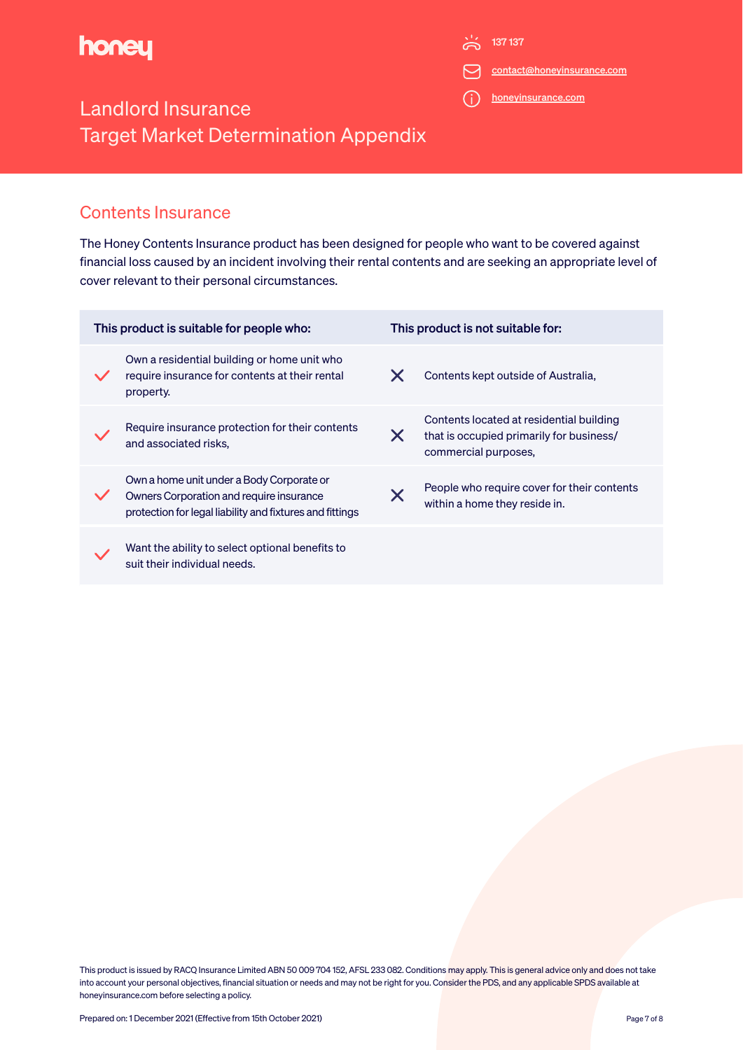

 $\frac{1}{2}$  137 137

contact@honeyinsurance.com

honeyinsurance.com

# Landlord Insurance Target Market Determination Appendix

#### Contents Insurance

The Honey Contents Insurance product has been designed for people who want to be covered against financial loss caused by an incident involving their rental contents and are seeking an appropriate level of cover relevant to their personal circumstances.

| This product is suitable for people who: |                                                                                                                                                   |               | This product is not suitable for:                                                                            |  |  |
|------------------------------------------|---------------------------------------------------------------------------------------------------------------------------------------------------|---------------|--------------------------------------------------------------------------------------------------------------|--|--|
|                                          | Own a residential building or home unit who<br>require insurance for contents at their rental<br>property.                                        |               | Contents kept outside of Australia,                                                                          |  |  |
|                                          | Require insurance protection for their contents<br>and associated risks.                                                                          | X             | Contents located at residential building<br>that is occupied primarily for business/<br>commercial purposes, |  |  |
|                                          | Own a home unit under a Body Corporate or<br>Owners Corporation and require insurance<br>protection for legal liability and fixtures and fittings | $\bm{\times}$ | People who require cover for their contents<br>within a home they reside in.                                 |  |  |
|                                          | Want the ability to select optional benefits to<br>suit their individual needs.                                                                   |               |                                                                                                              |  |  |